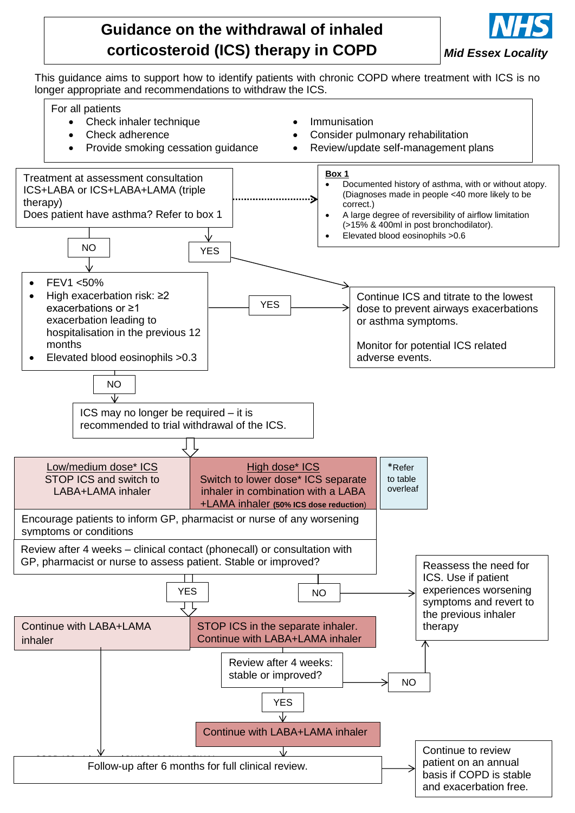



This guidance aims to support how to identify patients with chronic COPD where treatment with ICS is no longer appropriate and recommendations to withdraw the ICS.

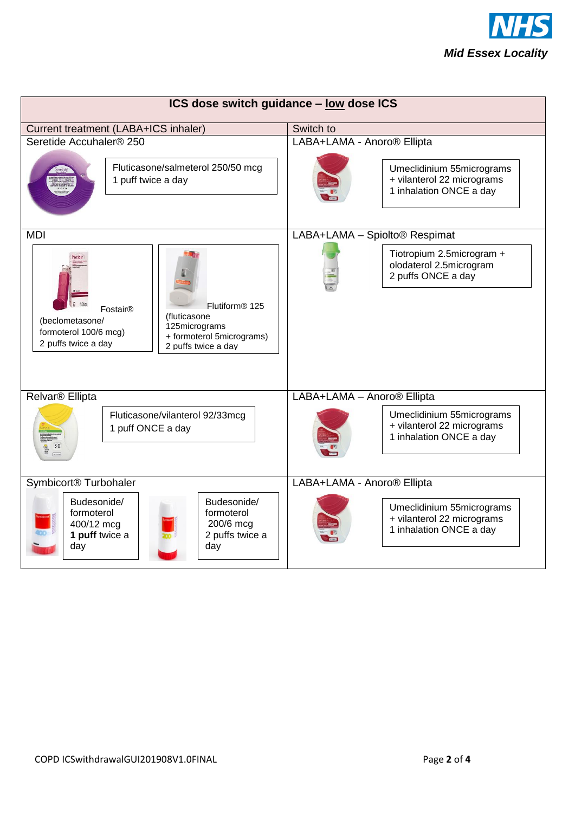

| ICS dose switch guidance - low dose ICS                                                                                              |                                                                                       |  |
|--------------------------------------------------------------------------------------------------------------------------------------|---------------------------------------------------------------------------------------|--|
| Current treatment (LABA+ICS inhaler)                                                                                                 | Switch to                                                                             |  |
| Seretide Accuhaler® 250<br>Fluticasone/salmeterol 250/50 mcg<br>1 puff twice a day                                                   | LABA+LAMA - Anoro® Ellipta<br>Umeclidinium 55micrograms<br>+ vilanterol 22 micrograms |  |
|                                                                                                                                      | 1 inhalation ONCE a day                                                               |  |
| <b>MDI</b>                                                                                                                           | LABA+LAMA - Spiolto® Respimat                                                         |  |
|                                                                                                                                      | Tiotropium 2.5microgram +<br>olodaterol 2.5microgram<br>2 puffs ONCE a day            |  |
| Flutiform <sup>®</sup> 125<br>Fostair <sup>®</sup>                                                                                   |                                                                                       |  |
| (fluticasone<br>(beclometasone/<br>125micrograms                                                                                     |                                                                                       |  |
| formoterol 100/6 mcg)<br>+ formoterol 5micrograms)<br>2 puffs twice a day<br>2 puffs twice a day                                     |                                                                                       |  |
| Relvar <sup>®</sup> Ellipta                                                                                                          | LABA+LAMA - Anoro® Ellipta                                                            |  |
|                                                                                                                                      |                                                                                       |  |
| Fluticasone/vilanterol 92/33mcg<br>1 puff ONCE a day                                                                                 | Umeclidinium 55micrograms<br>+ vilanterol 22 micrograms<br>1 inhalation ONCE a day    |  |
| Symbicort <sup>®</sup> Turbohaler                                                                                                    | LABA+LAMA - Anoro® Ellipta                                                            |  |
| Budesonide/<br>Budesonide/<br>formoterol<br>formoterol<br>400/12 mcg<br>200/6 mcg<br>1 puff twice a<br>2 puffs twice a<br>day<br>day | Umeclidinium 55micrograms<br>+ vilanterol 22 micrograms<br>1 inhalation ONCE a day    |  |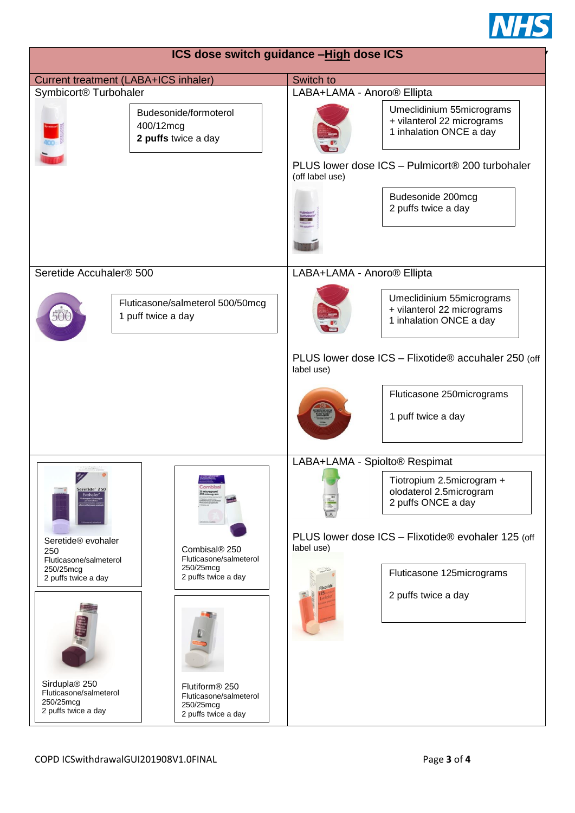

| ICS dose switch guidance -High dose ICS                                                        |                                                                                          |                               |                                                                                    |
|------------------------------------------------------------------------------------------------|------------------------------------------------------------------------------------------|-------------------------------|------------------------------------------------------------------------------------|
| Current treatment (LABA+ICS inhaler)                                                           |                                                                                          | Switch to                     |                                                                                    |
| Symbicort <sup>®</sup> Turbohaler                                                              |                                                                                          | LABA+LAMA - Anoro® Ellipta    |                                                                                    |
| 400/12mcg                                                                                      | Budesonide/formoterol<br>2 puffs twice a day                                             |                               | Umeclidinium 55micrograms<br>+ vilanterol 22 micrograms<br>1 inhalation ONCE a day |
|                                                                                                |                                                                                          | (off label use)               | PLUS lower dose ICS - Pulmicort® 200 turbohaler                                    |
|                                                                                                |                                                                                          |                               | Budesonide 200mcg<br>2 puffs twice a day                                           |
|                                                                                                |                                                                                          |                               |                                                                                    |
| Seretide Accuhaler® 500                                                                        |                                                                                          | LABA+LAMA - Anoro® Ellipta    |                                                                                    |
| 1 puff twice a day                                                                             | Fluticasone/salmeterol 500/50mcg                                                         |                               | Umeclidinium 55micrograms<br>+ vilanterol 22 micrograms<br>1 inhalation ONCE a day |
|                                                                                                |                                                                                          | label use)                    | PLUS lower dose ICS - Flixotide® accuhaler 250 (off                                |
|                                                                                                |                                                                                          |                               | Fluticasone 250micrograms<br>1 puff twice a day                                    |
|                                                                                                |                                                                                          |                               |                                                                                    |
| eretide 250                                                                                    |                                                                                          | LABA+LAMA - Spiolto® Respimat | Tiotropium 2.5microgram +<br>olodaterol 2.5microgram<br>2 puffs ONCE a day         |
| Seretide® evohaler<br>Combisal® 250<br>250<br>Fluticasone/salmeterol<br>Fluticasone/salmeterol |                                                                                          | label use)                    | PLUS lower dose ICS - Flixotide® evohaler 125 (off                                 |
| 250/25mcg<br>2 puffs twice a day                                                               | 250/25mcg<br>2 puffs twice a day                                                         |                               | Fluticasone 125micrograms                                                          |
|                                                                                                |                                                                                          |                               | 2 puffs twice a day                                                                |
|                                                                                                |                                                                                          |                               |                                                                                    |
| Sirdupla® 250<br>Fluticasone/salmeterol<br>250/25mcg<br>2 puffs twice a day                    | Flutiform <sup>®</sup> 250<br>Fluticasone/salmeterol<br>250/25mcg<br>2 puffs twice a day |                               |                                                                                    |